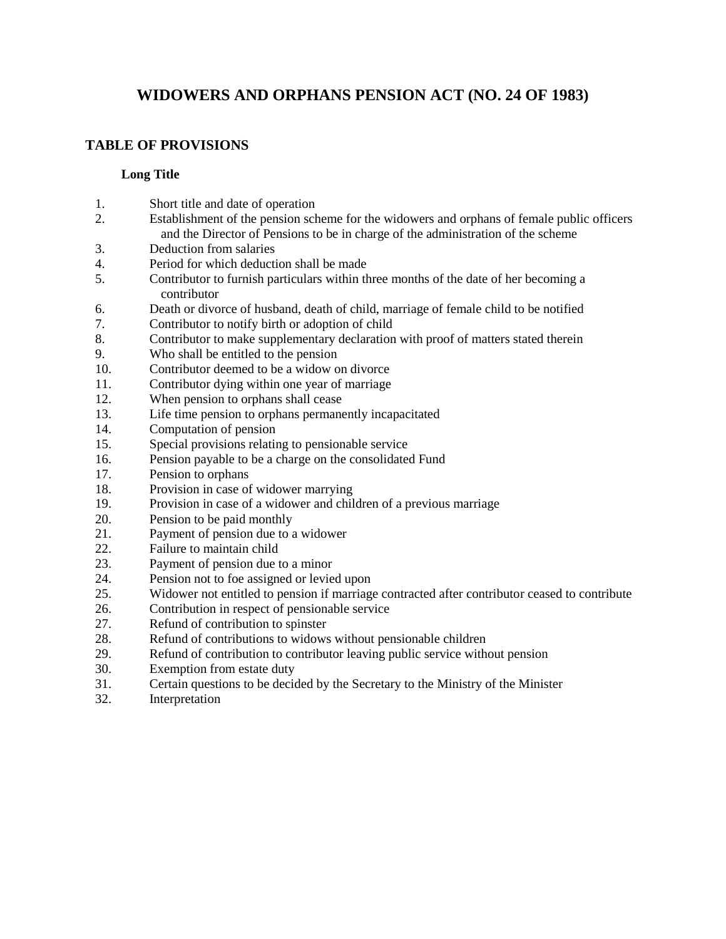# **WIDOWERS AND ORPHANS PENSION ACT (NO. 24 OF 1983)**

# **TABLE OF PROVISIONS**

### **[Long Title](http://www.commonlii.org/lk/legis/num_act/waopa24o1983360/longtitle.html)**

- [1.](http://www.commonlii.org/lk/legis/num_act/waopa24o1983360/s1.html) Short title and date of operation
- [2.](http://www.commonlii.org/lk/legis/num_act/waopa24o1983360/s2.html) Establishment of the pension scheme for the widowers and orphans of female public officers and the Director of Pensions to be in charge of the administration of the scheme
- [3.](http://www.commonlii.org/lk/legis/num_act/waopa24o1983360/s3.html) Deduction from salaries
- [4.](http://www.commonlii.org/lk/legis/num_act/waopa24o1983360/s4.html) Period for which deduction shall be made
- [5.](http://www.commonlii.org/lk/legis/num_act/waopa24o1983360/s5.html) Contributor to furnish particulars within three months of the date of her becoming a contributor
- [6.](http://www.commonlii.org/lk/legis/num_act/waopa24o1983360/s6.html) Death or divorce of husband, death of child, marriage of female child to be notified
- [7.](http://www.commonlii.org/lk/legis/num_act/waopa24o1983360/s7.html) Contributor to notify birth or adoption of child
- [8.](http://www.commonlii.org/lk/legis/num_act/waopa24o1983360/s8.html) Contributor to make supplementary declaration with proof of matters stated therein
- [9.](http://www.commonlii.org/lk/legis/num_act/waopa24o1983360/s9.html) Who shall be entitled to the pension
- [10.](http://www.commonlii.org/lk/legis/num_act/waopa24o1983360/s10.html) Contributor deemed to be a widow on divorce
- [11.](http://www.commonlii.org/lk/legis/num_act/waopa24o1983360/s11.html) Contributor dying within one year of marriage
- [12.](http://www.commonlii.org/lk/legis/num_act/waopa24o1983360/s12.html) When pension to orphans shall cease
- [13.](http://www.commonlii.org/lk/legis/num_act/waopa24o1983360/s13.html) Life time pension to orphans permanently incapacitated
- [14.](http://www.commonlii.org/lk/legis/num_act/waopa24o1983360/s14.html) Computation of pension
- [15.](http://www.commonlii.org/lk/legis/num_act/waopa24o1983360/s15.html) Special provisions relating to pensionable service
- [16.](http://www.commonlii.org/lk/legis/num_act/waopa24o1983360/s16.html) Pension payable to be a charge on the consolidated Fund
- [17.](http://www.commonlii.org/lk/legis/num_act/waopa24o1983360/s17.html) Pension to orphans
- [18.](http://www.commonlii.org/lk/legis/num_act/waopa24o1983360/s18.html) Provision in case of widower marrying
- [19.](http://www.commonlii.org/lk/legis/num_act/waopa24o1983360/s19.html) Provision in case of a widower and children of a previous marriage
- [20.](http://www.commonlii.org/lk/legis/num_act/waopa24o1983360/s20.html) Pension to be paid monthly
- [21.](http://www.commonlii.org/lk/legis/num_act/waopa24o1983360/s21.html) Payment of pension due to a widower
- [22.](http://www.commonlii.org/lk/legis/num_act/waopa24o1983360/s22.html) Failure to maintain child
- [23.](http://www.commonlii.org/lk/legis/num_act/waopa24o1983360/s23.html) Payment of pension due to a minor
- [24.](http://www.commonlii.org/lk/legis/num_act/waopa24o1983360/s24.html) Pension not to foe assigned or levied upon
- [25.](http://www.commonlii.org/lk/legis/num_act/waopa24o1983360/s25.html) Widower not entitled to pension if marriage contracted after contributor ceased to contribute
- [26.](http://www.commonlii.org/lk/legis/num_act/waopa24o1983360/s26.html) Contribution in respect of pensionable service
- [27.](http://www.commonlii.org/lk/legis/num_act/waopa24o1983360/s27.html) Refund of contribution to spinster
- [28.](http://www.commonlii.org/lk/legis/num_act/waopa24o1983360/s28.html) Refund of contributions to widows without pensionable children
- [29.](http://www.commonlii.org/lk/legis/num_act/waopa24o1983360/s29.html) Refund of contribution to contributor leaving public service without pension
- [30.](http://www.commonlii.org/lk/legis/num_act/waopa24o1983360/s30.html) Exemption from estate duty
- [31.](http://www.commonlii.org/lk/legis/num_act/waopa24o1983360/s31.html) Certain questions to be decided by the Secretary to the Ministry of the Minister
- [32.](http://www.commonlii.org/lk/legis/num_act/waopa24o1983360/s32.html) Interpretation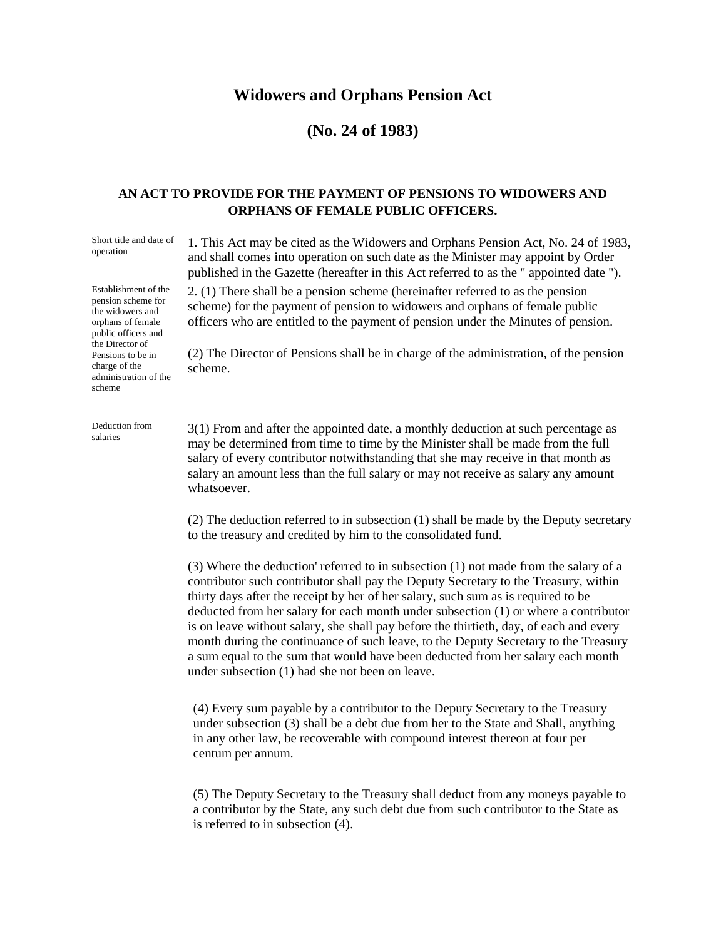## **Widowers and Orphans Pension Act**

## **(No. 24 of 1983)**

#### **AN ACT TO PROVIDE FOR THE PAYMENT OF PENSIONS TO WIDOWERS AND ORPHANS OF FEMALE PUBLIC OFFICERS.**

Short title and date of operation

Establishment of the pension scheme for the widowers and orphans of female public officers and the Director of Pensions to be in charge of the administration of the scheme

Deduction from salaries

1. This Act may be cited as the Widowers and Orphans Pension Act, No. 24 of 1983, and shall comes into operation on such date as the Minister may appoint by Order published in the Gazette (hereafter in this Act referred to as the " appointed date ").

2. (1) There shall be a pension scheme (hereinafter referred to as the pension scheme) for the payment of pension to widowers and orphans of female public officers who are entitled to the payment of pension under the Minutes of pension.

(2) The Director of Pensions shall be in charge of the administration, of the pension scheme.

3(1) From and after the appointed date, a monthly deduction at such percentage as may be determined from time to time by the Minister shall be made from the full salary of every contributor notwithstanding that she may receive in that month as salary an amount less than the full salary or may not receive as salary any amount whatsoever.

(2) The deduction referred to in subsection (1) shall be made by the Deputy secretary to the treasury and credited by him to the consolidated fund.

(3) Where the deduction' referred to in subsection (1) not made from the salary of a contributor such contributor shall pay the Deputy Secretary to the Treasury, within thirty days after the receipt by her of her salary, such sum as is required to be deducted from her salary for each month under subsection (1) or where a contributor is on leave without salary, she shall pay before the thirtieth, day, of each and every month during the continuance of such leave, to the Deputy Secretary to the Treasury a sum equal to the sum that would have been deducted from her salary each month under subsection (1) had she not been on leave.

(4) Every sum payable by a contributor to the Deputy Secretary to the Treasury under subsection (3) shall be a debt due from her to the State and Shall, anything in any other law, be recoverable with compound interest thereon at four per centum per annum.

(5) The Deputy Secretary to the Treasury shall deduct from any moneys payable to a contributor by the State, any such debt due from such contributor to the State as is referred to in subsection (4).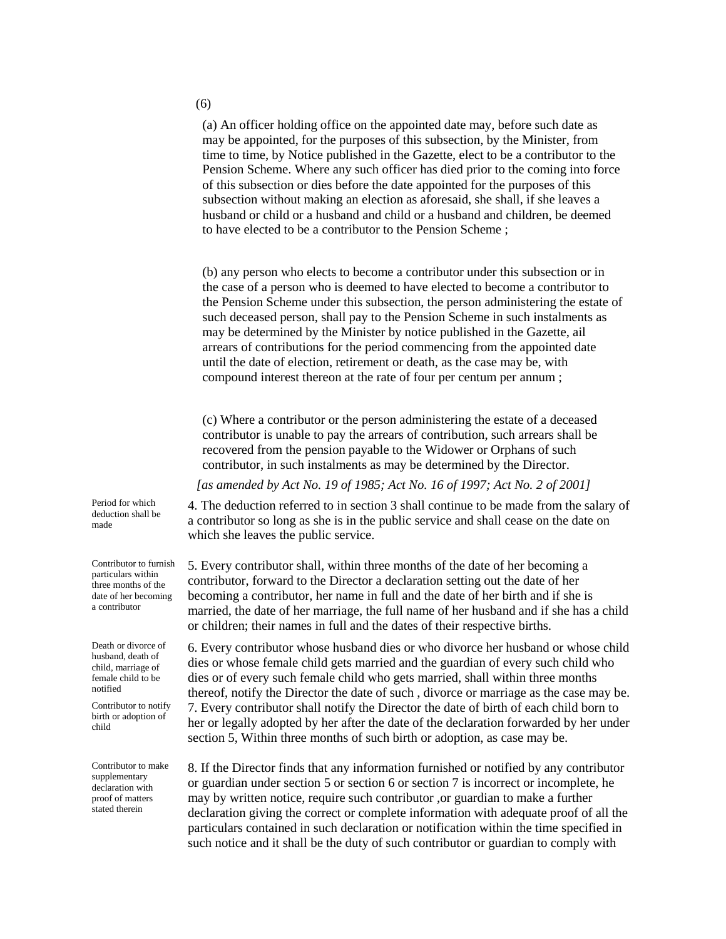(a) An officer holding office on the appointed date may, before such date as may be appointed, for the purposes of this subsection, by the Minister, from time to time, by Notice published in the Gazette, elect to be a contributor to the Pension Scheme. Where any such officer has died prior to the coming into force of this subsection or dies before the date appointed for the purposes of this subsection without making an election as aforesaid, she shall, if she leaves a husband or child or a husband and child or a husband and children, be deemed to have elected to be a contributor to the Pension Scheme ;

(b) any person who elects to become a contributor under this subsection or in the case of a person who is deemed to have elected to become a contributor to the Pension Scheme under this subsection, the person administering the estate of such deceased person, shall pay to the Pension Scheme in such instalments as may be determined by the Minister by notice published in the Gazette, ail arrears of contributions for the period commencing from the appointed date until the date of election, retirement or death, as the case may be, with compound interest thereon at the rate of four per centum per annum ;

(c) Where a contributor or the person administering the estate of a deceased contributor is unable to pay the arrears of contribution, such arrears shall be recovered from the pension payable to the Widower or Orphans of such contributor, in such instalments as may be determined by the Director.

*[as amended by Act No. 19 of 1985; Act No. 16 of 1997; Act No. 2 of 2001]*

4. The deduction referred to in section 3 shall continue to be made from the salary of a contributor so long as she is in the public service and shall cease on the date on which she leaves the public service.

5. Every contributor shall, within three months of the date of her becoming a contributor, forward to the Director a declaration setting out the date of her becoming a contributor, her name in full and the date of her birth and if she is married, the date of her marriage, the full name of her husband and if she has a child or children; their names in full and the dates of their respective births.

6. Every contributor whose husband dies or who divorce her husband or whose child dies or whose female child gets married and the guardian of every such child who dies or of every such female child who gets married, shall within three months thereof, notify the Director the date of such , divorce or marriage as the case may be. 7. Every contributor shall notify the Director the date of birth of each child born to her or legally adopted by her after the date of the declaration forwarded by her under section 5, Within three months of such birth or adoption, as case may be.

8. If the Director finds that any information furnished or notified by any contributor or guardian under section 5 or section 6 or section 7 is incorrect or incomplete, he may by written notice, require such contributor ,or guardian to make a further declaration giving the correct or complete information with adequate proof of all the particulars contained in such declaration or notification within the time specified in such notice and it shall be the duty of such contributor or guardian to comply with

Period for which deduction shall be made

Contributor to furnish particulars within three months of the date of her becoming a contributor

Death or divorce of husband, death of child, marriage of female child to be notified

Contributor to notify birth or adoption of child

Contributor to make supplementary declaration with proof of matters stated therein

(6)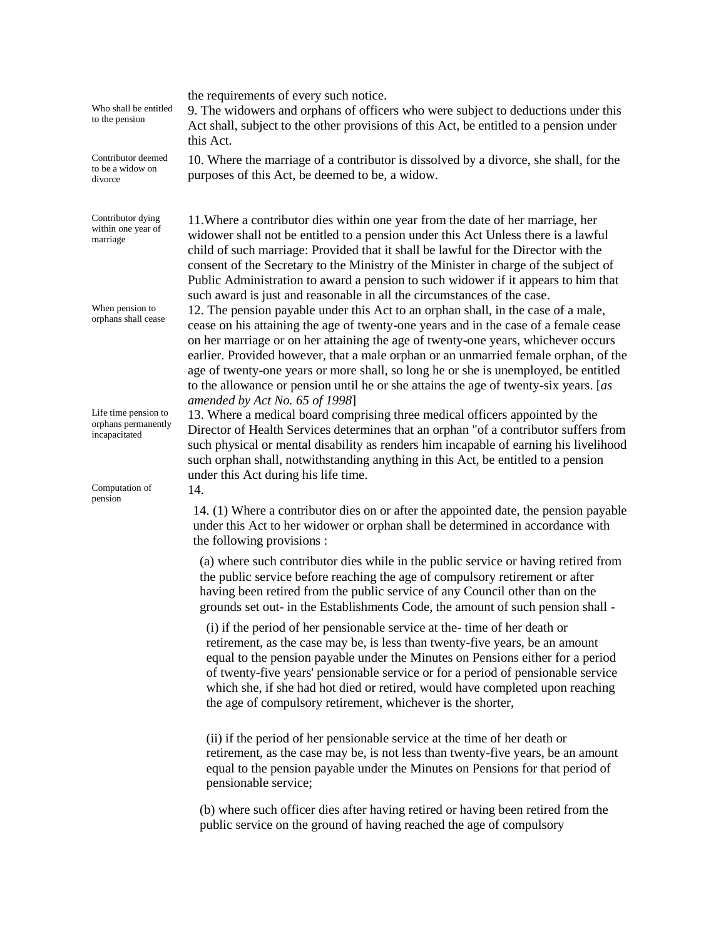| Who shall be entitled<br>to the pension                      | the requirements of every such notice.<br>9. The widowers and orphans of officers who were subject to deductions under this<br>Act shall, subject to the other provisions of this Act, be entitled to a pension under<br>this Act.                                                                                                                                                                                                                                                                                                                                     |
|--------------------------------------------------------------|------------------------------------------------------------------------------------------------------------------------------------------------------------------------------------------------------------------------------------------------------------------------------------------------------------------------------------------------------------------------------------------------------------------------------------------------------------------------------------------------------------------------------------------------------------------------|
| Contributor deemed<br>to be a widow on<br>divorce            | 10. Where the marriage of a contributor is dissolved by a divorce, she shall, for the<br>purposes of this Act, be deemed to be, a widow.                                                                                                                                                                                                                                                                                                                                                                                                                               |
| Contributor dying<br>within one year of<br>marriage          | 11. Where a contributor dies within one year from the date of her marriage, her<br>widower shall not be entitled to a pension under this Act Unless there is a lawful<br>child of such marriage: Provided that it shall be lawful for the Director with the<br>consent of the Secretary to the Ministry of the Minister in charge of the subject of<br>Public Administration to award a pension to such widower if it appears to him that<br>such award is just and reasonable in all the circumstances of the case.                                                   |
| When pension to<br>orphans shall cease                       | 12. The pension payable under this Act to an orphan shall, in the case of a male,<br>cease on his attaining the age of twenty-one years and in the case of a female cease<br>on her marriage or on her attaining the age of twenty-one years, whichever occurs<br>earlier. Provided however, that a male orphan or an unmarried female orphan, of the<br>age of twenty-one years or more shall, so long he or she is unemployed, be entitled<br>to the allowance or pension until he or she attains the age of twenty-six years. [as<br>amended by Act No. 65 of 1998] |
| Life time pension to<br>orphans permanently<br>incapacitated | 13. Where a medical board comprising three medical officers appointed by the<br>Director of Health Services determines that an orphan "of a contributor suffers from<br>such physical or mental disability as renders him incapable of earning his livelihood<br>such orphan shall, notwithstanding anything in this Act, be entitled to a pension<br>under this Act during his life time.                                                                                                                                                                             |
| Computation of<br>pension                                    | 14.                                                                                                                                                                                                                                                                                                                                                                                                                                                                                                                                                                    |
|                                                              | 14. (1) Where a contributor dies on or after the appointed date, the pension payable<br>under this Act to her widower or orphan shall be determined in accordance with<br>the following provisions :                                                                                                                                                                                                                                                                                                                                                                   |
|                                                              | (a) where such contributor dies while in the public service or having retired from<br>the public service before reaching the age of compulsory retirement or after<br>having been retired from the public service of any Council other than on the<br>grounds set out- in the Establishments Code, the amount of such pension shall -                                                                                                                                                                                                                                  |
|                                                              | (i) if the period of her pensionable service at the-time of her death or<br>retirement, as the case may be, is less than twenty-five years, be an amount<br>equal to the pension payable under the Minutes on Pensions either for a period<br>of twenty-five years' pensionable service or for a period of pensionable service<br>which she, if she had hot died or retired, would have completed upon reaching<br>the age of compulsory retirement, whichever is the shorter,                                                                                         |
|                                                              | (ii) if the period of her pensionable service at the time of her death or<br>retirement, as the case may be, is not less than twenty-five years, be an amount<br>equal to the pension payable under the Minutes on Pensions for that period of<br>pensionable service;                                                                                                                                                                                                                                                                                                 |

(b) where such officer dies after having retired or having been retired from the public service on the ground of having reached the age of compulsory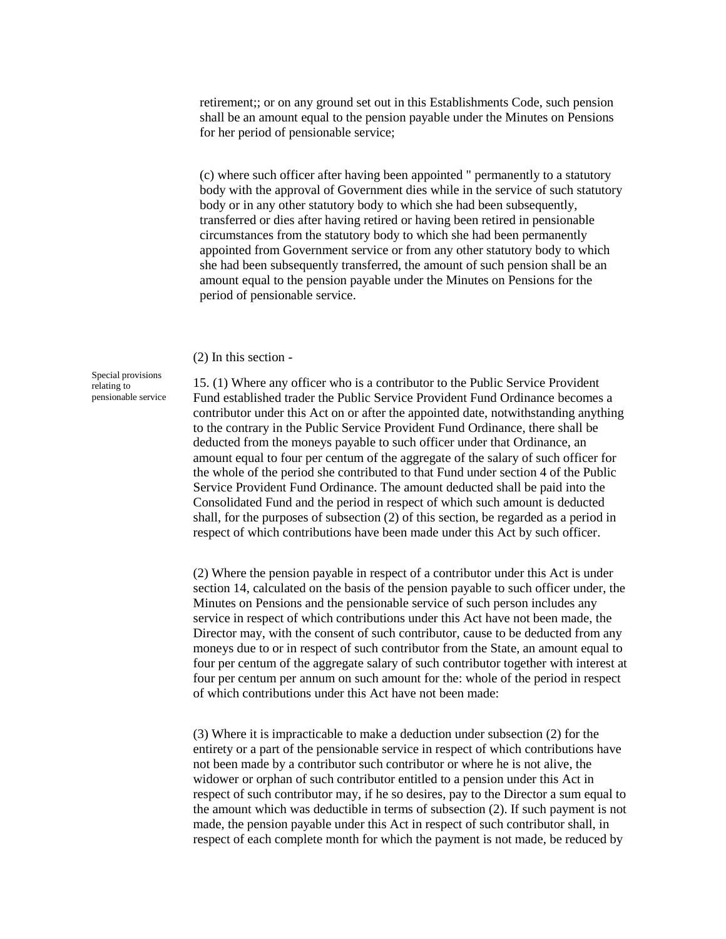retirement;; or on any ground set out in this Establishments Code, such pension shall be an amount equal to the pension payable under the Minutes on Pensions for her period of pensionable service;

(c) where such officer after having been appointed " permanently to a statutory body with the approval of Government dies while in the service of such statutory body or in any other statutory body to which she had been subsequently, transferred or dies after having retired or having been retired in pensionable circumstances from the statutory body to which she had been permanently appointed from Government service or from any other statutory body to which she had been subsequently transferred, the amount of such pension shall be an amount equal to the pension payable under the Minutes on Pensions for the period of pensionable service.

(2) In this section -

Special provisions relating to pensionable service

15. (1) Where any officer who is a contributor to the Public Service Provident Fund established trader the Public Service Provident Fund Ordinance becomes a contributor under this Act on or after the appointed date, notwithstanding anything to the contrary in the Public Service Provident Fund Ordinance, there shall be deducted from the moneys payable to such officer under that Ordinance, an amount equal to four per centum of the aggregate of the salary of such officer for the whole of the period she contributed to that Fund under section 4 of the Public Service Provident Fund Ordinance. The amount deducted shall be paid into the Consolidated Fund and the period in respect of which such amount is deducted shall, for the purposes of subsection (2) of this section, be regarded as a period in respect of which contributions have been made under this Act by such officer.

(2) Where the pension payable in respect of a contributor under this Act is under section 14, calculated on the basis of the pension payable to such officer under, the Minutes on Pensions and the pensionable service of such person includes any service in respect of which contributions under this Act have not been made, the Director may, with the consent of such contributor, cause to be deducted from any moneys due to or in respect of such contributor from the State, an amount equal to four per centum of the aggregate salary of such contributor together with interest at four per centum per annum on such amount for the: whole of the period in respect of which contributions under this Act have not been made:

(3) Where it is impracticable to make a deduction under subsection (2) for the entirety or a part of the pensionable service in respect of which contributions have not been made by a contributor such contributor or where he is not alive, the widower or orphan of such contributor entitled to a pension under this Act in respect of such contributor may, if he so desires, pay to the Director a sum equal to the amount which was deductible in terms of subsection (2). If such payment is not made, the pension payable under this Act in respect of such contributor shall, in respect of each complete month for which the payment is not made, be reduced by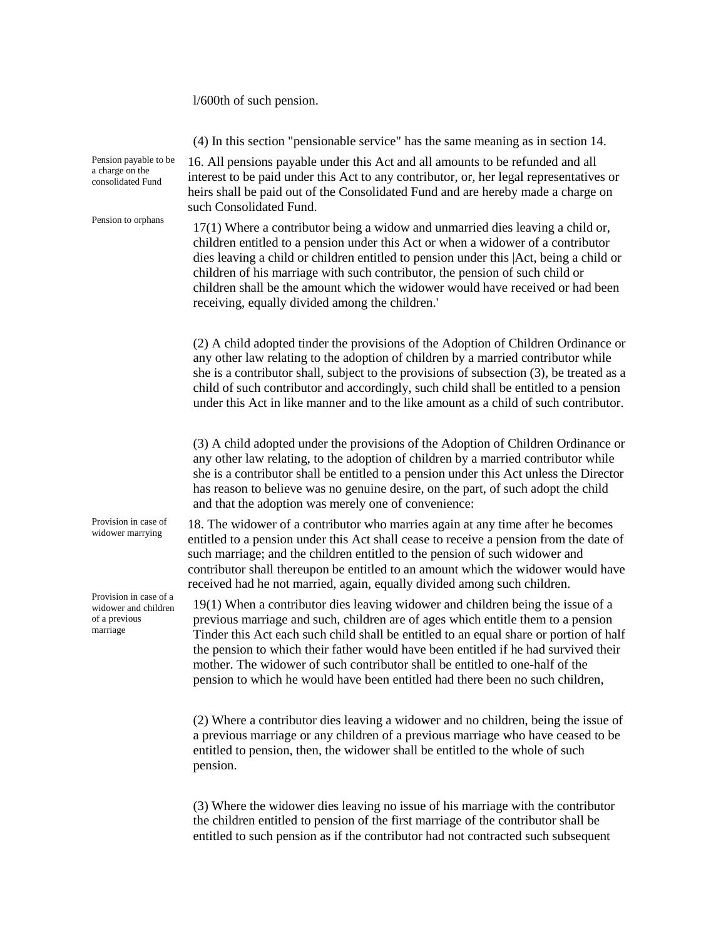(4) In this section "pensionable service" has the same meaning as in section 14. Pension payable to be a charge on the consolidated Fund 16. All pensions payable under this Act and all amounts to be refunded and all interest to be paid under this Act to any contributor, or, her legal representatives or heirs shall be paid out of the Consolidated Fund and are hereby made a charge on such Consolidated Fund. Pension to orphans 17(1) Where a contributor being a widow and unmarried dies leaving a child or, children entitled to a pension under this Act or when a widower of a contributor dies leaving a child or children entitled to pension under this |Act, being a child or children of his marriage with such contributor, the pension of such child or children shall be the amount which the widower would have received or had been receiving, equally divided among the children.' (2) A child adopted tinder the provisions of the Adoption of Children Ordinance or any other law relating to the adoption of children by a married contributor while she is a contributor shall, subject to the provisions of subsection (3), be treated as a child of such contributor and accordingly, such child shall be entitled to a pension under this Act in like manner and to the like amount as a child of such contributor. (3) A child adopted under the provisions of the Adoption of Children Ordinance or any other law relating, to the adoption of children by a married contributor while she is a contributor shall be entitled to a pension under this Act unless the Director has reason to believe was no genuine desire, on the part, of such adopt the child and that the adoption was merely one of convenience: Provision in case of widower marrying 18. The widower of a contributor who marries again at any time after he becomes entitled to a pension under this Act shall cease to receive a pension from the date of such marriage; and the children entitled to the pension of such widower and contributor shall thereupon be entitled to an amount which the widower would have received had he not married, again, equally divided among such children. Provision in case of a widower and children of a previous marriage 19(1) When a contributor dies leaving widower and children being the issue of a previous marriage and such, children are of ages which entitle them to a pension Tinder this Act each such child shall be entitled to an equal share or portion of half the pension to which their father would have been entitled if he had survived their mother. The widower of such contributor shall be entitled to one-half of the pension to which he would have been entitled had there been no such children, (2) Where a contributor dies leaving a widower and no children, being the issue of a previous marriage or any children of a previous marriage who have ceased to be entitled to pension, then, the widower shall be entitled to the whole of such pension.

l/600th of such pension.

(3) Where the widower dies leaving no issue of his marriage with the contributor the children entitled to pension of the first marriage of the contributor shall be entitled to such pension as if the contributor had not contracted such subsequent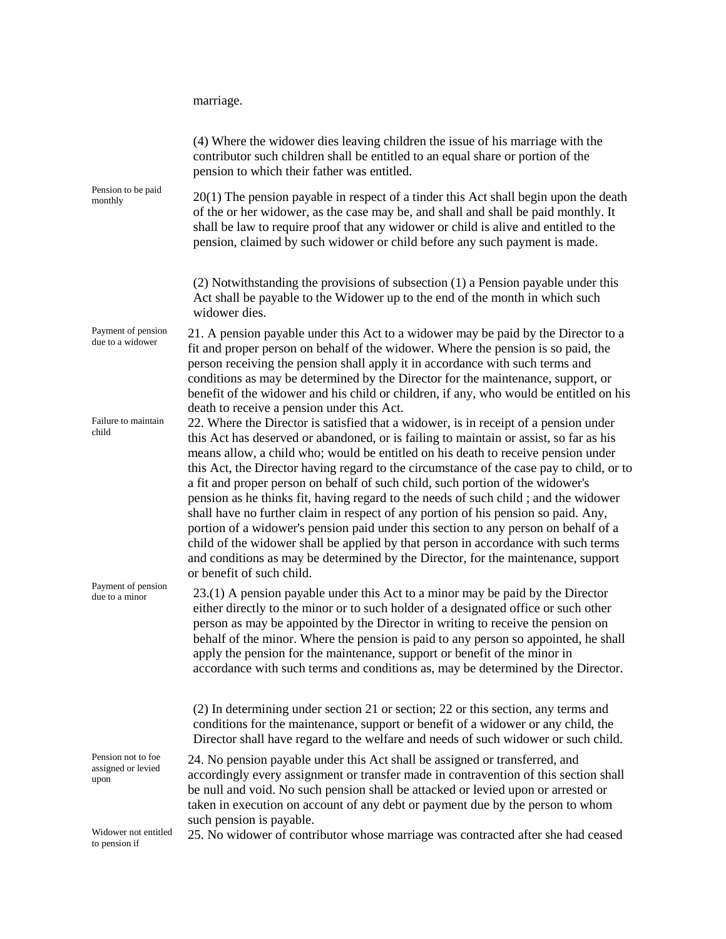marriage.

| Pension to be paid<br>monthly                    | (4) Where the widower dies leaving children the issue of his marriage with the<br>contributor such children shall be entitled to an equal share or portion of the<br>pension to which their father was entitled.                                                                                                                                                                                                                                                                                                                                                                                                                                                                                                                                                                                                                                                                                                                                                            |
|--------------------------------------------------|-----------------------------------------------------------------------------------------------------------------------------------------------------------------------------------------------------------------------------------------------------------------------------------------------------------------------------------------------------------------------------------------------------------------------------------------------------------------------------------------------------------------------------------------------------------------------------------------------------------------------------------------------------------------------------------------------------------------------------------------------------------------------------------------------------------------------------------------------------------------------------------------------------------------------------------------------------------------------------|
|                                                  | 20(1) The pension payable in respect of a tinder this Act shall begin upon the death<br>of the or her widower, as the case may be, and shall and shall be paid monthly. It<br>shall be law to require proof that any widower or child is alive and entitled to the<br>pension, claimed by such widower or child before any such payment is made.                                                                                                                                                                                                                                                                                                                                                                                                                                                                                                                                                                                                                            |
|                                                  | (2) Notwithstanding the provisions of subsection (1) a Pension payable under this<br>Act shall be payable to the Widower up to the end of the month in which such<br>widower dies.                                                                                                                                                                                                                                                                                                                                                                                                                                                                                                                                                                                                                                                                                                                                                                                          |
| Payment of pension<br>due to a widower           | 21. A pension payable under this Act to a widower may be paid by the Director to a<br>fit and proper person on behalf of the widower. Where the pension is so paid, the<br>person receiving the pension shall apply it in accordance with such terms and<br>conditions as may be determined by the Director for the maintenance, support, or<br>benefit of the widower and his child or children, if any, who would be entitled on his                                                                                                                                                                                                                                                                                                                                                                                                                                                                                                                                      |
| Failure to maintain<br>child                     | death to receive a pension under this Act.<br>22. Where the Director is satisfied that a widower, is in receipt of a pension under<br>this Act has deserved or abandoned, or is failing to maintain or assist, so far as his<br>means allow, a child who; would be entitled on his death to receive pension under<br>this Act, the Director having regard to the circumstance of the case pay to child, or to<br>a fit and proper person on behalf of such child, such portion of the widower's<br>pension as he thinks fit, having regard to the needs of such child; and the widower<br>shall have no further claim in respect of any portion of his pension so paid. Any,<br>portion of a widower's pension paid under this section to any person on behalf of a<br>child of the widower shall be applied by that person in accordance with such terms<br>and conditions as may be determined by the Director, for the maintenance, support<br>or benefit of such child. |
| Payment of pension<br>due to a minor             | 23.(1) A pension payable under this Act to a minor may be paid by the Director<br>either directly to the minor or to such holder of a designated office or such other<br>person as may be appointed by the Director in writing to receive the pension on<br>behalf of the minor. Where the pension is paid to any person so appointed, he shall<br>apply the pension for the maintenance, support or benefit of the minor in<br>accordance with such terms and conditions as, may be determined by the Director.<br>(2) In determining under section 21 or section; 22 or this section, any terms and                                                                                                                                                                                                                                                                                                                                                                       |
|                                                  | conditions for the maintenance, support or benefit of a widower or any child, the<br>Director shall have regard to the welfare and needs of such widower or such child.                                                                                                                                                                                                                                                                                                                                                                                                                                                                                                                                                                                                                                                                                                                                                                                                     |
| Pension not to foe<br>assigned or levied<br>upon | 24. No pension payable under this Act shall be assigned or transferred, and<br>accordingly every assignment or transfer made in contravention of this section shall<br>be null and void. No such pension shall be attacked or levied upon or arrested or<br>taken in execution on account of any debt or payment due by the person to whom<br>such pension is payable.                                                                                                                                                                                                                                                                                                                                                                                                                                                                                                                                                                                                      |
| Widower not entitled<br>to pension if            | 25. No widower of contributor whose marriage was contracted after she had ceased                                                                                                                                                                                                                                                                                                                                                                                                                                                                                                                                                                                                                                                                                                                                                                                                                                                                                            |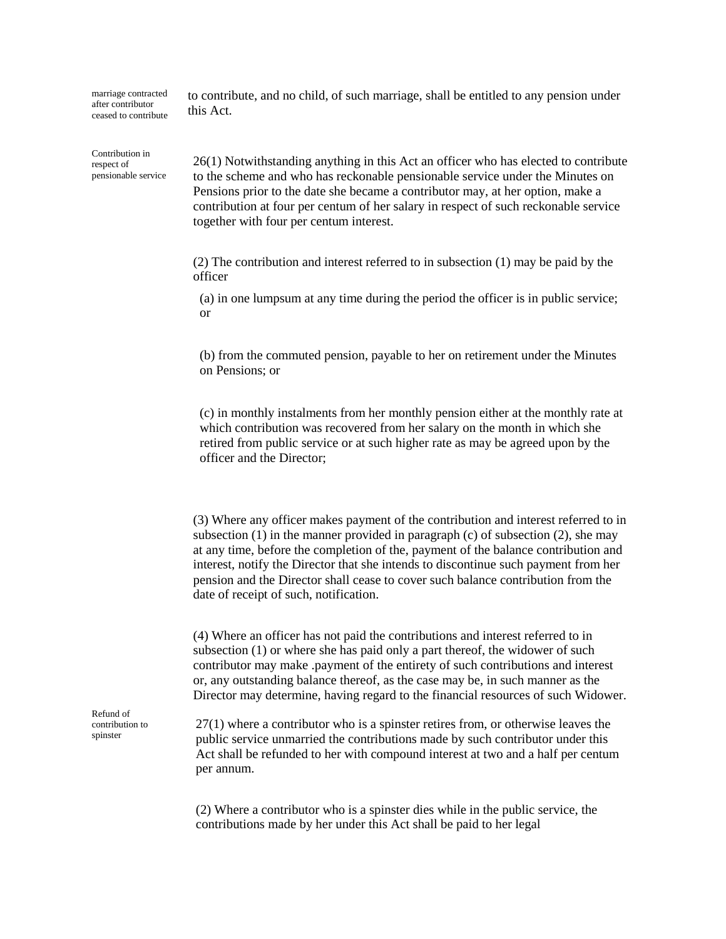marriage contracted after contributor ceased to contribute

Contribution in respect of pensionable service to contribute, and no child, of such marriage, shall be entitled to any pension under this Act.

26(1) Notwithstanding anything in this Act an officer who has elected to contribute to the scheme and who has reckonable pensionable service under the Minutes on Pensions prior to the date she became a contributor may, at her option, make a contribution at four per centum of her salary in respect of such reckonable service together with four per centum interest.

(2) The contribution and interest referred to in subsection (1) may be paid by the officer

(a) in one lumpsum at any time during the period the officer is in public service; or

(b) from the commuted pension, payable to her on retirement under the Minutes on Pensions; or

(c) in monthly instalments from her monthly pension either at the monthly rate at which contribution was recovered from her salary on the month in which she retired from public service or at such higher rate as may be agreed upon by the officer and the Director;

(3) Where any officer makes payment of the contribution and interest referred to in subsection  $(1)$  in the manner provided in paragraph  $(c)$  of subsection  $(2)$ , she may at any time, before the completion of the, payment of the balance contribution and interest, notify the Director that she intends to discontinue such payment from her pension and the Director shall cease to cover such balance contribution from the date of receipt of such, notification.

(4) Where an officer has not paid the contributions and interest referred to in subsection (1) or where she has paid only a part thereof, the widower of such contributor may make .payment of the entirety of such contributions and interest or, any outstanding balance thereof, as the case may be, in such manner as the Director may determine, having regard to the financial resources of such Widower.

Refund of contribution to spinster

27(1) where a contributor who is a spinster retires from, or otherwise leaves the public service unmarried the contributions made by such contributor under this Act shall be refunded to her with compound interest at two and a half per centum per annum.

(2) Where a contributor who is a spinster dies while in the public service, the contributions made by her under this Act shall be paid to her legal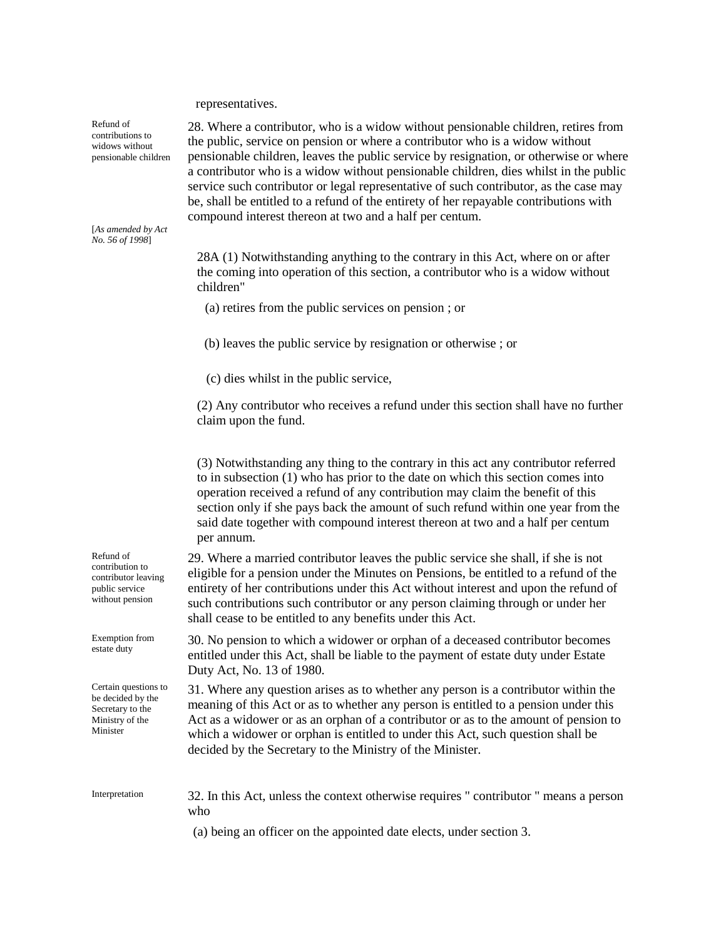representatives.

Refund of contributions to widows without pensionable children

[*As amended by Act No. 56 of 1998*]

Refund of contribution to contributor leaving public service without pension

Exemption from estate duty

Certain questions to be decided by the Secretary to the Ministry of the Minister

28. Where a contributor, who is a widow without pensionable children, retires from the public, service on pension or where a contributor who is a widow without pensionable children, leaves the public service by resignation, or otherwise or where a contributor who is a widow without pensionable children, dies whilst in the public service such contributor or legal representative of such contributor, as the case may be, shall be entitled to a refund of the entirety of her repayable contributions with compound interest thereon at two and a half per centum.

28A (1) Notwithstanding anything to the contrary in this Act, where on or after the coming into operation of this section, a contributor who is a widow without children"

(a) retires from the public services on pension ; or

(b) leaves the public service by resignation or otherwise ; or

(c) dies whilst in the public service,

(2) Any contributor who receives a refund under this section shall have no further claim upon the fund.

(3) Notwithstanding any thing to the contrary in this act any contributor referred to in subsection (1) who has prior to the date on which this section comes into operation received a refund of any contribution may claim the benefit of this section only if she pays back the amount of such refund within one year from the said date together with compound interest thereon at two and a half per centum per annum.

29. Where a married contributor leaves the public service she shall, if she is not eligible for a pension under the Minutes on Pensions, be entitled to a refund of the entirety of her contributions under this Act without interest and upon the refund of such contributions such contributor or any person claiming through or under her shall cease to be entitled to any benefits under this Act.

30. No pension to which a widower or orphan of a deceased contributor becomes entitled under this Act, shall be liable to the payment of estate duty under Estate Duty Act, No. 13 of 1980.

31. Where any question arises as to whether any person is a contributor within the meaning of this Act or as to whether any person is entitled to a pension under this Act as a widower or as an orphan of a contributor or as to the amount of pension to which a widower or orphan is entitled to under this Act, such question shall be decided by the Secretary to the Ministry of the Minister.

Interpretation 32. In this Act, unless the context otherwise requires " contributor " means a person who

(a) being an officer on the appointed date elects, under section 3.